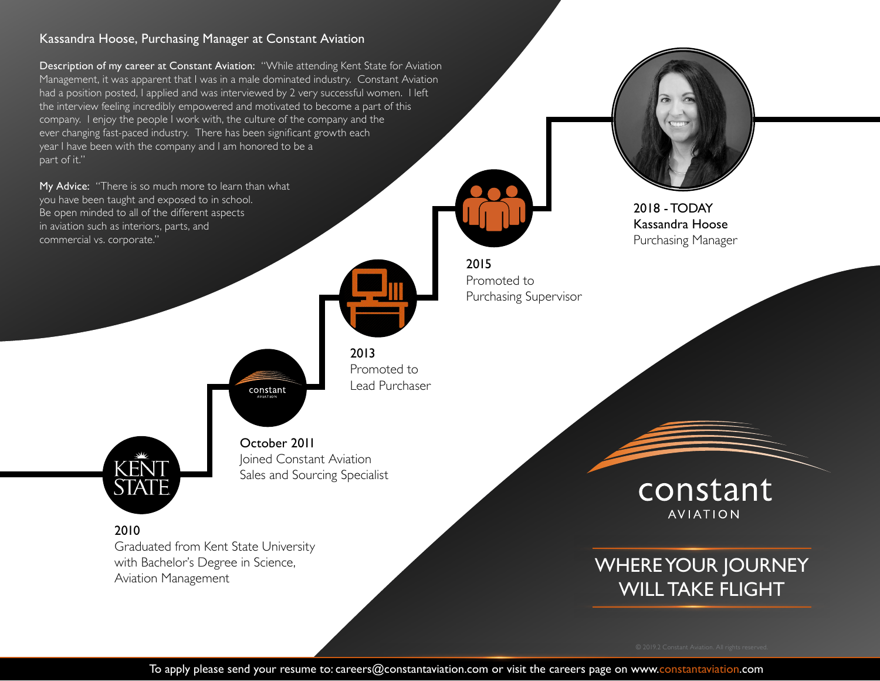### Kassandra Hoose, Purchasing Manager at Constant Aviation

Description of my career at Constant Aviation: "While attending Kent State for Aviation Management, it was apparent that I was in a male dominated industry. Constant Aviation had a position posted, I applied and was interviewed by 2 very successful women. I left the interview feeling incredibly empowered and motivated to become a part of this company. I enjoy the people I work with, the culture of the company and the ever changing fast-paced industry. There has been significant growth each year I have been with the company and I am honored to be a part of it."

My Advice: "There is so much more to learn than what you have been taught and exposed to in school. Be open minded to all of the different aspects in aviation such as interiors, parts, and commercial vs. corporate."



2015

Promoted to

Purchasing Supervisor

2013 Promoted to Lead Purchaser



October 2011 Joined Constant Aviation Sales and Sourcing Specialist

constant

2010

Graduated from Kent State University with Bachelor's Degree in Science, Aviation Management



Kassandra Hoose Purchasing Manager



## WHERE YOUR JOURNEY WILL TAKE FLIGHT

To apply please send your resume to: careers@constantaviation.com or visit the careers page on www.constantaviation.com